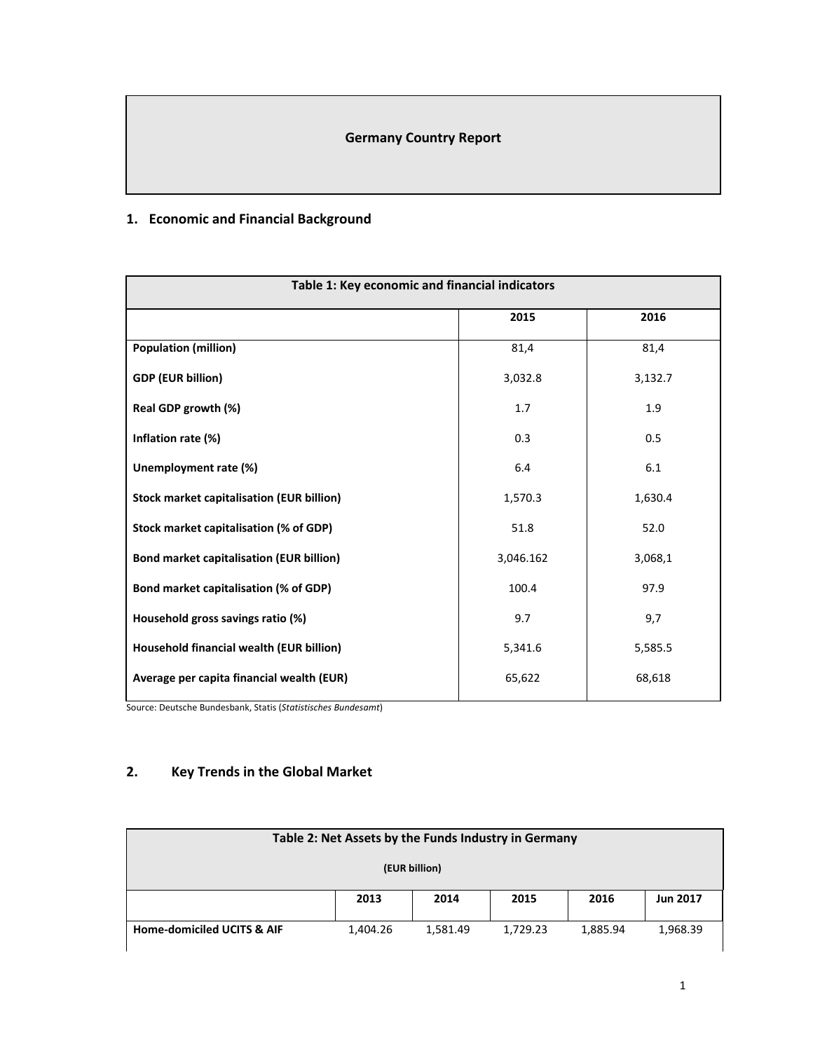## **Germany Country Report**

## **1. Economic and Financial Background**

| Table 1: Key economic and financial indicators   |           |         |  |  |  |
|--------------------------------------------------|-----------|---------|--|--|--|
|                                                  | 2015      | 2016    |  |  |  |
| <b>Population (million)</b>                      | 81,4      | 81,4    |  |  |  |
| <b>GDP (EUR billion)</b>                         | 3,032.8   | 3,132.7 |  |  |  |
| Real GDP growth (%)                              | 1.7       | 1.9     |  |  |  |
| Inflation rate (%)                               | 0.3       | 0.5     |  |  |  |
| Unemployment rate (%)                            | 6.4       | 6.1     |  |  |  |
| <b>Stock market capitalisation (EUR billion)</b> | 1,570.3   | 1,630.4 |  |  |  |
| Stock market capitalisation (% of GDP)           | 51.8      | 52.0    |  |  |  |
| <b>Bond market capitalisation (EUR billion)</b>  | 3,046.162 | 3,068,1 |  |  |  |
| Bond market capitalisation (% of GDP)            | 100.4     | 97.9    |  |  |  |
| Household gross savings ratio (%)                | 9.7       | 9,7     |  |  |  |
| Household financial wealth (EUR billion)         | 5,341.6   | 5,585.5 |  |  |  |
| Average per capita financial wealth (EUR)        | 65,622    | 68,618  |  |  |  |

Source: Deutsche Bundesbank, Statis (*Statistisches Bundesamt*)

# **2. Key Trends in the Global Market**

| Table 2: Net Assets by the Funds Industry in Germany                                              |  |  |  |  |  |  |  |
|---------------------------------------------------------------------------------------------------|--|--|--|--|--|--|--|
| (EUR billion)                                                                                     |  |  |  |  |  |  |  |
| 2013<br>2014<br>2016<br>2015<br><b>Jun 2017</b>                                                   |  |  |  |  |  |  |  |
| <b>Home-domiciled UCITS &amp; AIF</b><br>1,404.26<br>1,581.49<br>1,729.23<br>1,885.94<br>1,968.39 |  |  |  |  |  |  |  |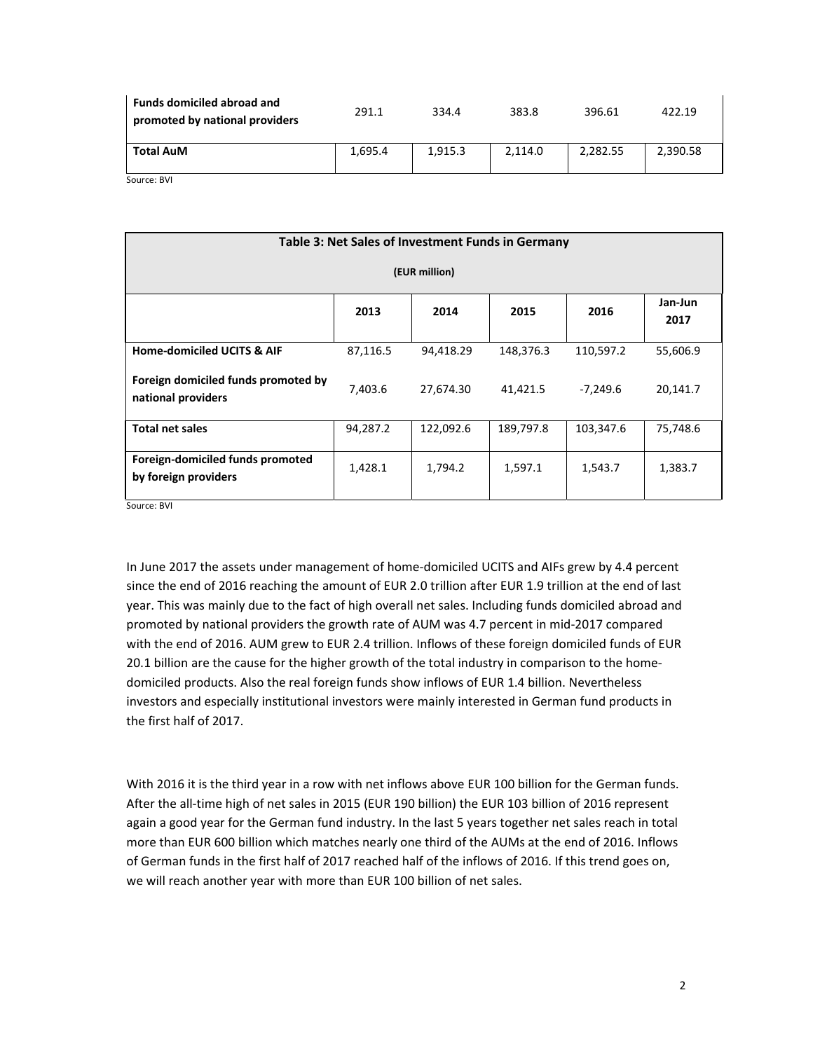| <b>Funds domiciled abroad and</b><br>promoted by national providers | 291.1   | 334.4   | 383.8   | 396.61   | 422.19   |
|---------------------------------------------------------------------|---------|---------|---------|----------|----------|
| <b>Total AuM</b>                                                    | 1.695.4 | 1.915.3 | 2.114.0 | 2,282.55 | 2,390.58 |
| $SO$ urca: $RVI$                                                    |         |         |         |          |          |

Source: BVI

| Table 3: Net Sales of Investment Funds in Germany         |          |           |           |            |          |  |  |  |
|-----------------------------------------------------------|----------|-----------|-----------|------------|----------|--|--|--|
| (EUR million)                                             |          |           |           |            |          |  |  |  |
| Jan-Jun<br>2014<br>2016<br>2013<br>2015<br>2017           |          |           |           |            |          |  |  |  |
| <b>Home-domiciled UCITS &amp; AIF</b>                     | 87,116.5 | 94,418.29 | 148,376.3 | 110,597.2  | 55,606.9 |  |  |  |
| Foreign domiciled funds promoted by<br>national providers | 7,403.6  | 27,674.30 | 41,421.5  | $-7,249.6$ | 20,141.7 |  |  |  |
| <b>Total net sales</b>                                    | 94,287.2 | 122,092.6 | 189,797.8 | 103,347.6  | 75,748.6 |  |  |  |
| Foreign-domiciled funds promoted<br>by foreign providers  | 1,428.1  | 1,794.2   | 1,597.1   | 1,543.7    | 1,383.7  |  |  |  |

Source: BVI

In June 2017 the assets under management of home-domiciled UCITS and AIFs grew by 4.4 percent since the end of 2016 reaching the amount of EUR 2.0 trillion after EUR 1.9 trillion at the end of last year. This was mainly due to the fact of high overall net sales. Including funds domiciled abroad and promoted by national providers the growth rate of AUM was 4.7 percent in mid‐2017 compared with the end of 2016. AUM grew to EUR 2.4 trillion. Inflows of these foreign domiciled funds of EUR 20.1 billion are the cause for the higher growth of the total industry in comparison to the home‐ domiciled products. Also the real foreign funds show inflows of EUR 1.4 billion. Nevertheless investors and especially institutional investors were mainly interested in German fund products in the first half of 2017.

With 2016 it is the third year in a row with net inflows above EUR 100 billion for the German funds. After the all-time high of net sales in 2015 (EUR 190 billion) the EUR 103 billion of 2016 represent again a good year for the German fund industry. In the last 5 years together net sales reach in total more than EUR 600 billion which matches nearly one third of the AUMs at the end of 2016. Inflows of German funds in the first half of 2017 reached half of the inflows of 2016. If this trend goes on, we will reach another year with more than EUR 100 billion of net sales.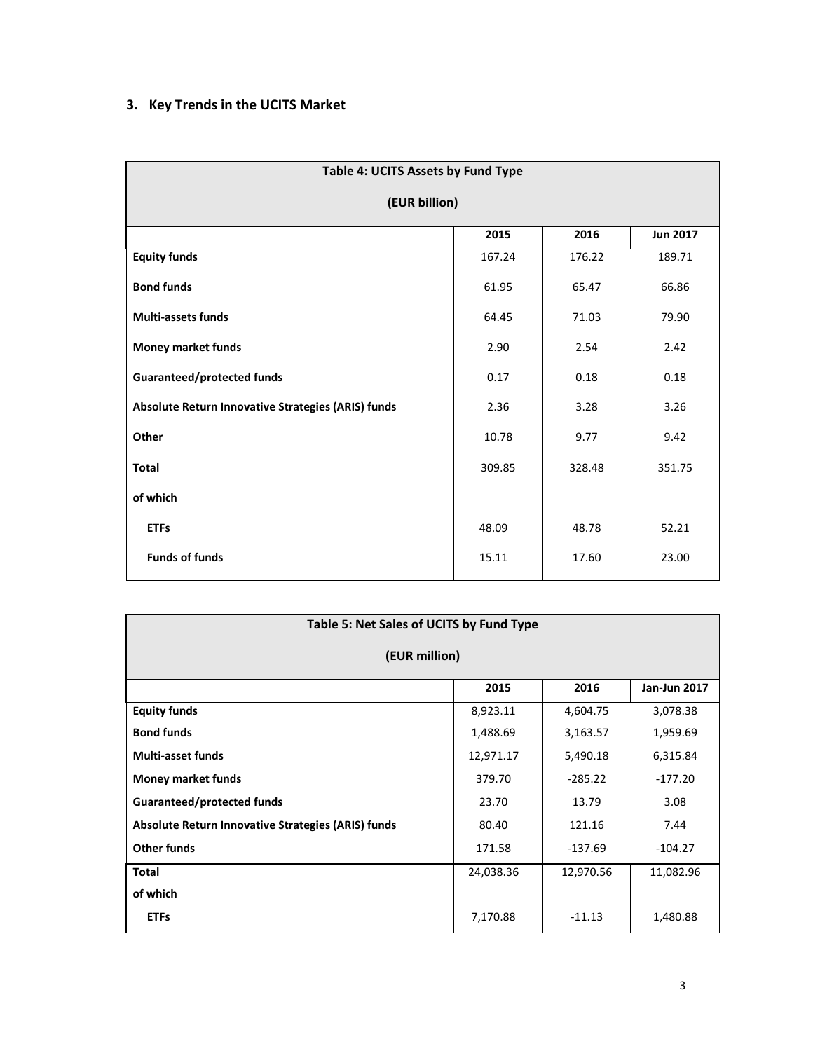# **3. Key Trends in the UCITS Market**

| Table 4: UCITS Assets by Fund Type                 |        |        |        |  |  |  |  |  |
|----------------------------------------------------|--------|--------|--------|--|--|--|--|--|
| (EUR billion)                                      |        |        |        |  |  |  |  |  |
| 2015<br>2016<br><b>Jun 2017</b>                    |        |        |        |  |  |  |  |  |
| <b>Equity funds</b>                                | 167.24 | 176.22 | 189.71 |  |  |  |  |  |
| <b>Bond funds</b>                                  | 61.95  | 65.47  | 66.86  |  |  |  |  |  |
| <b>Multi-assets funds</b>                          | 64.45  | 71.03  | 79.90  |  |  |  |  |  |
| <b>Money market funds</b>                          | 2.90   | 2.54   | 2.42   |  |  |  |  |  |
| <b>Guaranteed/protected funds</b>                  | 0.17   | 0.18   | 0.18   |  |  |  |  |  |
| Absolute Return Innovative Strategies (ARIS) funds | 2.36   | 3.28   | 3.26   |  |  |  |  |  |
| Other                                              | 10.78  | 9.77   | 9.42   |  |  |  |  |  |
| <b>Total</b>                                       | 309.85 | 328.48 | 351.75 |  |  |  |  |  |
| of which                                           |        |        |        |  |  |  |  |  |
| <b>ETFs</b>                                        | 48.09  | 48.78  | 52.21  |  |  |  |  |  |
| <b>Funds of funds</b>                              | 15.11  | 17.60  | 23.00  |  |  |  |  |  |

| Table 5: Net Sales of UCITS by Fund Type           |           |           |           |  |  |  |  |
|----------------------------------------------------|-----------|-----------|-----------|--|--|--|--|
| (EUR million)                                      |           |           |           |  |  |  |  |
| 2016<br>2015<br><b>Jan-Jun 2017</b>                |           |           |           |  |  |  |  |
| <b>Equity funds</b>                                | 8,923.11  | 4,604.75  | 3,078.38  |  |  |  |  |
| <b>Bond funds</b>                                  | 1,488.69  | 3,163.57  | 1,959.69  |  |  |  |  |
| <b>Multi-asset funds</b>                           | 12,971.17 | 5,490.18  | 6,315.84  |  |  |  |  |
| <b>Money market funds</b>                          | 379.70    | $-285.22$ | $-177.20$ |  |  |  |  |
| Guaranteed/protected funds                         | 23.70     | 13.79     | 3.08      |  |  |  |  |
| Absolute Return Innovative Strategies (ARIS) funds | 80.40     | 121.16    | 7.44      |  |  |  |  |
| <b>Other funds</b>                                 | 171.58    | $-137.69$ | $-104.27$ |  |  |  |  |
| <b>Total</b>                                       | 24,038.36 | 12,970.56 | 11,082.96 |  |  |  |  |
| of which                                           |           |           |           |  |  |  |  |
| <b>ETFs</b>                                        | 7,170.88  | $-11.13$  | 1,480.88  |  |  |  |  |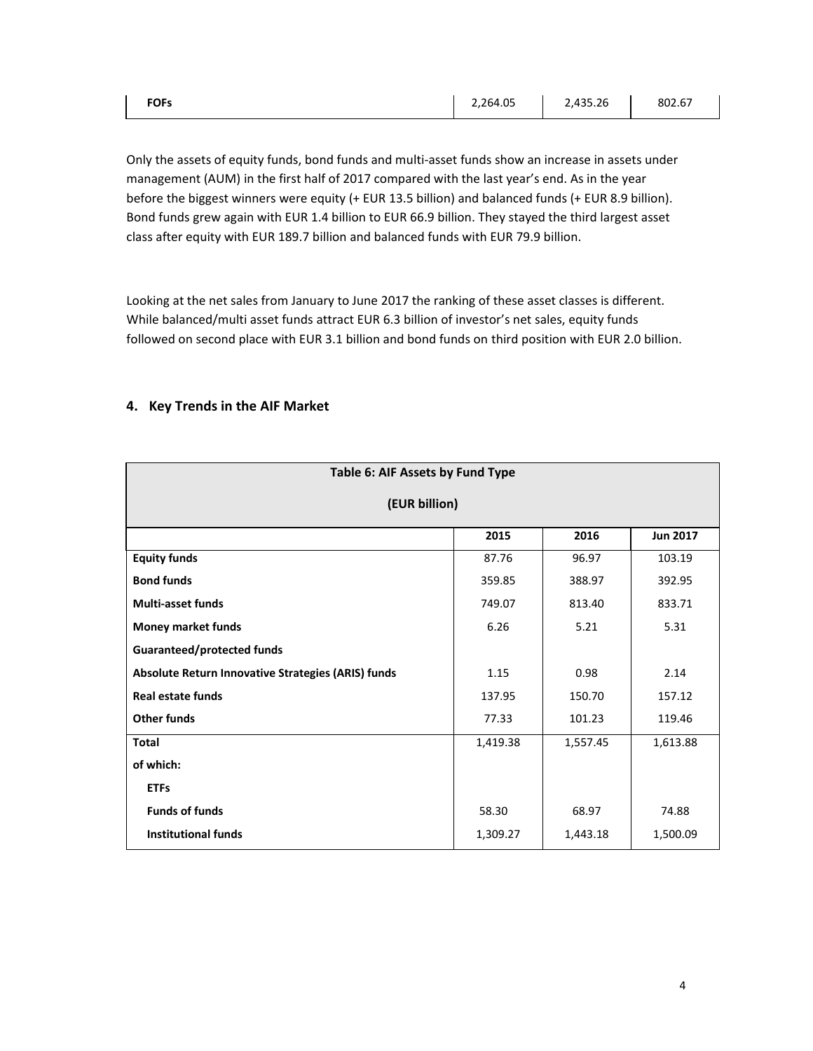| <b>FOFs</b> | 2,264.05 | 2,435.26 | 802.67 |
|-------------|----------|----------|--------|
|             |          |          |        |

Only the assets of equity funds, bond funds and multi‐asset funds show an increase in assets under management (AUM) in the first half of 2017 compared with the last year's end. As in the year before the biggest winners were equity (+ EUR 13.5 billion) and balanced funds (+ EUR 8.9 billion). Bond funds grew again with EUR 1.4 billion to EUR 66.9 billion. They stayed the third largest asset class after equity with EUR 189.7 billion and balanced funds with EUR 79.9 billion.

Looking at the net sales from January to June 2017 the ranking of these asset classes is different. While balanced/multi asset funds attract EUR 6.3 billion of investor's net sales, equity funds followed on second place with EUR 3.1 billion and bond funds on third position with EUR 2.0 billion.

|  |  |  |  |  | 4. Key Trends in the AIF Market |
|--|--|--|--|--|---------------------------------|
|--|--|--|--|--|---------------------------------|

| Table 6: AIF Assets by Fund Type                   |          |          |          |  |  |  |  |  |
|----------------------------------------------------|----------|----------|----------|--|--|--|--|--|
| (EUR billion)                                      |          |          |          |  |  |  |  |  |
| 2015<br><b>Jun 2017</b><br>2016                    |          |          |          |  |  |  |  |  |
| <b>Equity funds</b>                                | 87.76    | 96.97    | 103.19   |  |  |  |  |  |
| <b>Bond funds</b>                                  | 359.85   | 388.97   | 392.95   |  |  |  |  |  |
| <b>Multi-asset funds</b>                           | 749.07   | 813.40   | 833.71   |  |  |  |  |  |
| <b>Money market funds</b>                          | 6.26     | 5.21     | 5.31     |  |  |  |  |  |
| <b>Guaranteed/protected funds</b>                  |          |          |          |  |  |  |  |  |
| Absolute Return Innovative Strategies (ARIS) funds | 1.15     | 0.98     | 2.14     |  |  |  |  |  |
| <b>Real estate funds</b>                           | 137.95   | 150.70   | 157.12   |  |  |  |  |  |
| <b>Other funds</b>                                 | 77.33    | 101.23   | 119.46   |  |  |  |  |  |
| <b>Total</b>                                       | 1,419.38 | 1,557.45 | 1,613.88 |  |  |  |  |  |
| of which:                                          |          |          |          |  |  |  |  |  |
| <b>ETFs</b>                                        |          |          |          |  |  |  |  |  |
| <b>Funds of funds</b>                              | 58.30    | 68.97    | 74.88    |  |  |  |  |  |
| <b>Institutional funds</b>                         | 1,309.27 | 1,443.18 | 1,500.09 |  |  |  |  |  |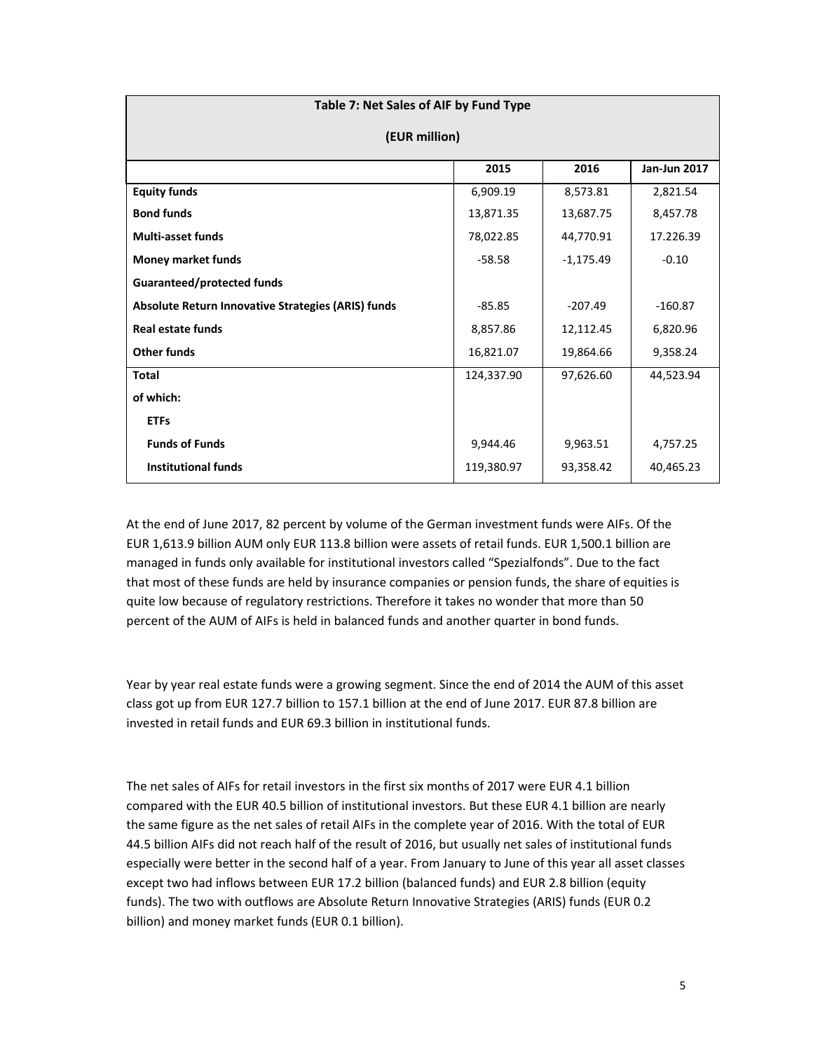| Table 7: Net Sales of AIF by Fund Type             |            |             |           |  |  |  |  |  |
|----------------------------------------------------|------------|-------------|-----------|--|--|--|--|--|
| (EUR million)                                      |            |             |           |  |  |  |  |  |
| 2016<br><b>Jan-Jun 2017</b><br>2015                |            |             |           |  |  |  |  |  |
| <b>Equity funds</b>                                | 6,909.19   | 8,573.81    | 2,821.54  |  |  |  |  |  |
| <b>Bond funds</b>                                  | 13,871.35  | 13,687.75   | 8,457.78  |  |  |  |  |  |
| <b>Multi-asset funds</b>                           | 78,022.85  | 44,770.91   | 17.226.39 |  |  |  |  |  |
| <b>Money market funds</b>                          | $-58.58$   | $-1,175.49$ | $-0.10$   |  |  |  |  |  |
| <b>Guaranteed/protected funds</b>                  |            |             |           |  |  |  |  |  |
| Absolute Return Innovative Strategies (ARIS) funds | $-85.85$   | $-207.49$   | $-160.87$ |  |  |  |  |  |
| <b>Real estate funds</b>                           | 8,857.86   | 12,112.45   | 6,820.96  |  |  |  |  |  |
| <b>Other funds</b>                                 | 16,821.07  | 19,864.66   | 9,358.24  |  |  |  |  |  |
| <b>Total</b>                                       | 124,337.90 | 97,626.60   | 44,523.94 |  |  |  |  |  |
| of which:                                          |            |             |           |  |  |  |  |  |
| <b>ETFs</b>                                        |            |             |           |  |  |  |  |  |
| <b>Funds of Funds</b>                              | 9,944.46   | 9,963.51    | 4,757.25  |  |  |  |  |  |
| <b>Institutional funds</b>                         | 119,380.97 | 93,358.42   | 40,465.23 |  |  |  |  |  |

At the end of June 2017, 82 percent by volume of the German investment funds were AIFs. Of the EUR 1,613.9 billion AUM only EUR 113.8 billion were assets of retail funds. EUR 1,500.1 billion are managed in funds only available for institutional investors called "Spezialfonds". Due to the fact that most of these funds are held by insurance companies or pension funds, the share of equities is quite low because of regulatory restrictions. Therefore it takes no wonder that more than 50 percent of the AUM of AIFs is held in balanced funds and another quarter in bond funds.

Year by year real estate funds were a growing segment. Since the end of 2014 the AUM of this asset class got up from EUR 127.7 billion to 157.1 billion at the end of June 2017. EUR 87.8 billion are invested in retail funds and EUR 69.3 billion in institutional funds.

The net sales of AIFs for retail investors in the first six months of 2017 were EUR 4.1 billion compared with the EUR 40.5 billion of institutional investors. But these EUR 4.1 billion are nearly the same figure as the net sales of retail AIFs in the complete year of 2016. With the total of EUR 44.5 billion AIFs did not reach half of the result of 2016, but usually net sales of institutional funds especially were better in the second half of a year. From January to June of this year all asset classes except two had inflows between EUR 17.2 billion (balanced funds) and EUR 2.8 billion (equity funds). The two with outflows are Absolute Return Innovative Strategies (ARIS) funds (EUR 0.2 billion) and money market funds (EUR 0.1 billion).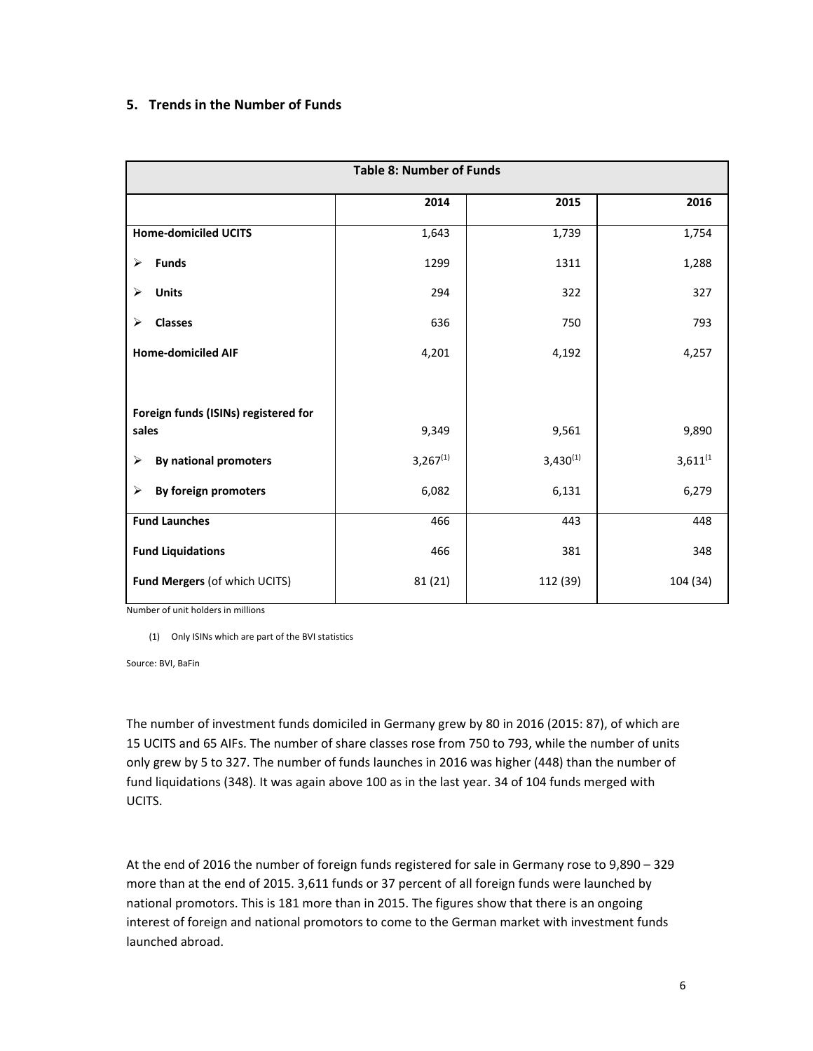## **5. Trends in the Number of Funds**

| <b>Table 8: Number of Funds</b>      |               |               |               |  |  |
|--------------------------------------|---------------|---------------|---------------|--|--|
|                                      | 2014          | 2015          | 2016          |  |  |
| <b>Home-domiciled UCITS</b>          | 1,643         | 1,739         | 1,754         |  |  |
| <b>Funds</b><br>≻                    | 1299          | 1311          | 1,288         |  |  |
| ⋗<br><b>Units</b>                    | 294           | 322           | 327           |  |  |
| <b>Classes</b><br>➤                  | 636           | 750           | 793           |  |  |
| <b>Home-domiciled AIF</b>            | 4,201         | 4,192         | 4,257         |  |  |
|                                      |               |               |               |  |  |
| Foreign funds (ISINs) registered for |               |               |               |  |  |
| sales                                | 9,349         | 9,561         | 9,890         |  |  |
| <b>By national promoters</b><br>≻    | $3,267^{(1)}$ | $3,430^{(1)}$ | $3,611^{(1)}$ |  |  |
| By foreign promoters<br>⋗            | 6,082         | 6,131         | 6,279         |  |  |
| <b>Fund Launches</b>                 | 466           | 443           | 448           |  |  |
| <b>Fund Liquidations</b>             | 466           | 381           | 348           |  |  |
| Fund Mergers (of which UCITS)        | 81(21)        | 112 (39)      | 104 (34)      |  |  |

Number of unit holders in millions

(1) Only ISINs which are part of the BVI statistics

Source: BVI, BaFin

The number of investment funds domiciled in Germany grew by 80 in 2016 (2015: 87), of which are 15 UCITS and 65 AIFs. The number of share classes rose from 750 to 793, while the number of units only grew by 5 to 327. The number of funds launches in 2016 was higher (448) than the number of fund liquidations (348). It was again above 100 as in the last year. 34 of 104 funds merged with UCITS.

At the end of 2016 the number of foreign funds registered for sale in Germany rose to 9,890 – 329 more than at the end of 2015. 3,611 funds or 37 percent of all foreign funds were launched by national promotors. This is 181 more than in 2015. The figures show that there is an ongoing interest of foreign and national promotors to come to the German market with investment funds launched abroad.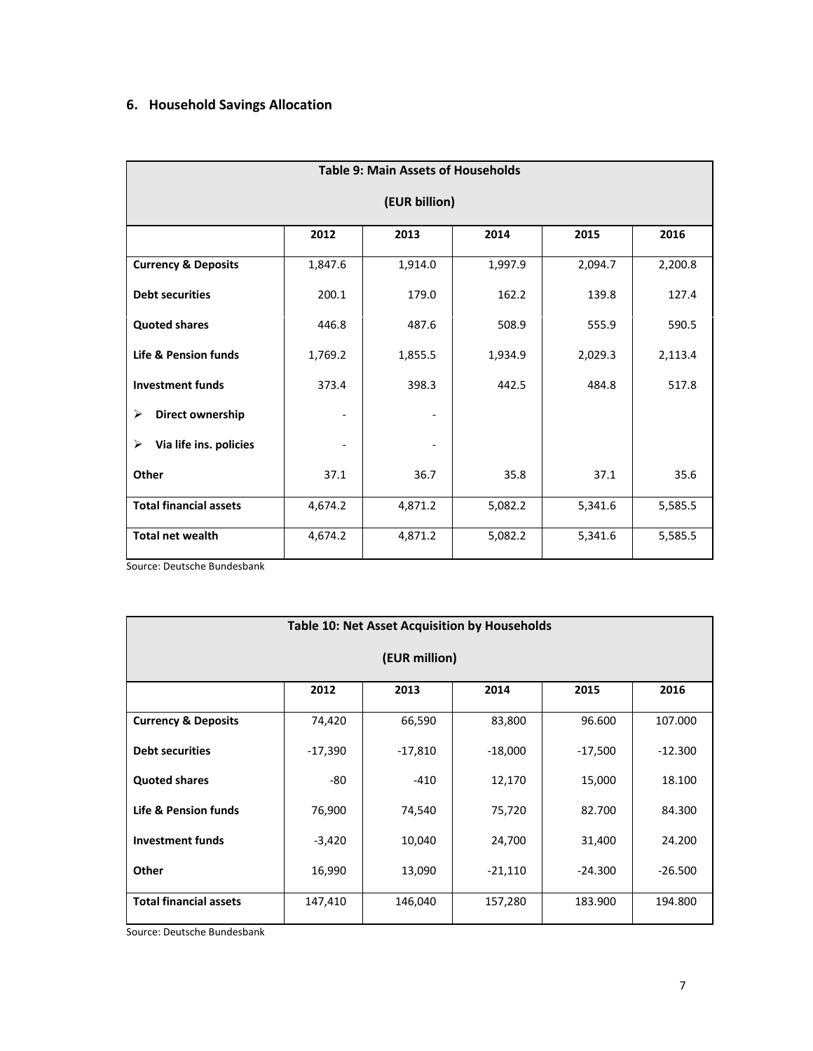# **6. Household Savings Allocation**

|                                 | <b>Table 9: Main Assets of Households</b> |         |         |         |         |  |
|---------------------------------|-------------------------------------------|---------|---------|---------|---------|--|
| (EUR billion)                   |                                           |         |         |         |         |  |
|                                 | 2012                                      | 2013    | 2014    | 2015    | 2016    |  |
| <b>Currency &amp; Deposits</b>  | 1,847.6                                   | 1,914.0 | 1,997.9 | 2,094.7 | 2,200.8 |  |
| <b>Debt securities</b>          | 200.1                                     | 179.0   | 162.2   | 139.8   | 127.4   |  |
| <b>Quoted shares</b>            | 446.8                                     | 487.6   | 508.9   | 555.9   | 590.5   |  |
| <b>Life &amp; Pension funds</b> | 1,769.2                                   | 1,855.5 | 1,934.9 | 2,029.3 | 2,113.4 |  |
| <b>Investment funds</b>         | 373.4                                     | 398.3   | 442.5   | 484.8   | 517.8   |  |
| ≻<br>Direct ownership           |                                           |         |         |         |         |  |
| Via life ins. policies<br>≻     |                                           |         |         |         |         |  |
| Other                           | 37.1                                      | 36.7    | 35.8    | 37.1    | 35.6    |  |
| <b>Total financial assets</b>   | 4,674.2                                   | 4,871.2 | 5,082.2 | 5,341.6 | 5,585.5 |  |
| <b>Total net wealth</b>         | 4,674.2                                   | 4,871.2 | 5,082.2 | 5,341.6 | 5,585.5 |  |

Source: Deutsche Bundesbank

| Table 10: Net Asset Acquisition by Households |           |           |           |           |           |
|-----------------------------------------------|-----------|-----------|-----------|-----------|-----------|
| (EUR million)                                 |           |           |           |           |           |
|                                               | 2012      | 2013      | 2014      | 2015      | 2016      |
| <b>Currency &amp; Deposits</b>                | 74,420    | 66,590    | 83,800    | 96.600    | 107.000   |
| <b>Debt securities</b>                        | $-17,390$ | $-17,810$ | $-18,000$ | $-17,500$ | $-12.300$ |
| <b>Quoted shares</b>                          | -80       | $-410$    | 12,170    | 15,000    | 18.100    |
| Life & Pension funds                          | 76,900    | 74,540    | 75,720    | 82.700    | 84.300    |
| <b>Investment funds</b>                       | $-3,420$  | 10,040    | 24,700    | 31,400    | 24.200    |
| Other                                         | 16,990    | 13,090    | -21,110   | $-24.300$ | $-26.500$ |
| <b>Total financial assets</b>                 | 147,410   | 146,040   | 157,280   | 183.900   | 194.800   |

Source: Deutsche Bundesbank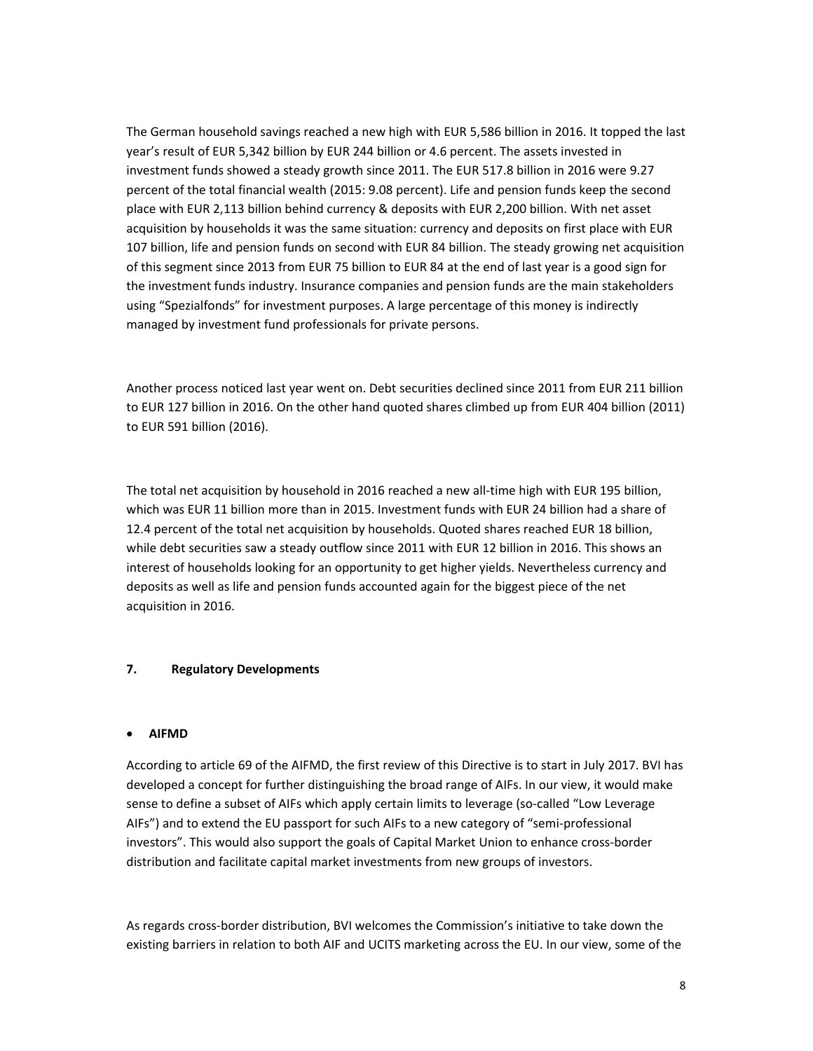The German household savings reached a new high with EUR 5,586 billion in 2016. It topped the last year's result of EUR 5,342 billion by EUR 244 billion or 4.6 percent. The assets invested in investment funds showed a steady growth since 2011. The EUR 517.8 billion in 2016 were 9.27 percent of the total financial wealth (2015: 9.08 percent). Life and pension funds keep the second place with EUR 2,113 billion behind currency & deposits with EUR 2,200 billion. With net asset acquisition by households it was the same situation: currency and deposits on first place with EUR 107 billion, life and pension funds on second with EUR 84 billion. The steady growing net acquisition of this segment since 2013 from EUR 75 billion to EUR 84 at the end of last year is a good sign for the investment funds industry. Insurance companies and pension funds are the main stakeholders using "Spezialfonds" for investment purposes. A large percentage of this money is indirectly managed by investment fund professionals for private persons.

Another process noticed last year went on. Debt securities declined since 2011 from EUR 211 billion to EUR 127 billion in 2016. On the other hand quoted shares climbed up from EUR 404 billion (2011) to EUR 591 billion (2016).

The total net acquisition by household in 2016 reached a new all-time high with EUR 195 billion, which was EUR 11 billion more than in 2015. Investment funds with EUR 24 billion had a share of 12.4 percent of the total net acquisition by households. Quoted shares reached EUR 18 billion, while debt securities saw a steady outflow since 2011 with EUR 12 billion in 2016. This shows an interest of households looking for an opportunity to get higher yields. Nevertheless currency and deposits as well as life and pension funds accounted again for the biggest piece of the net acquisition in 2016.

#### **7. Regulatory Developments**

#### **AIFMD**

According to article 69 of the AIFMD, the first review of this Directive is to start in July 2017. BVI has developed a concept for further distinguishing the broad range of AIFs. In our view, it would make sense to define a subset of AIFs which apply certain limits to leverage (so-called "Low Leverage AIFs") and to extend the EU passport for such AIFs to a new category of "semi‐professional investors". This would also support the goals of Capital Market Union to enhance cross‐border distribution and facilitate capital market investments from new groups of investors.

As regards cross‐border distribution, BVI welcomes the Commission's initiative to take down the existing barriers in relation to both AIF and UCITS marketing across the EU. In our view, some of the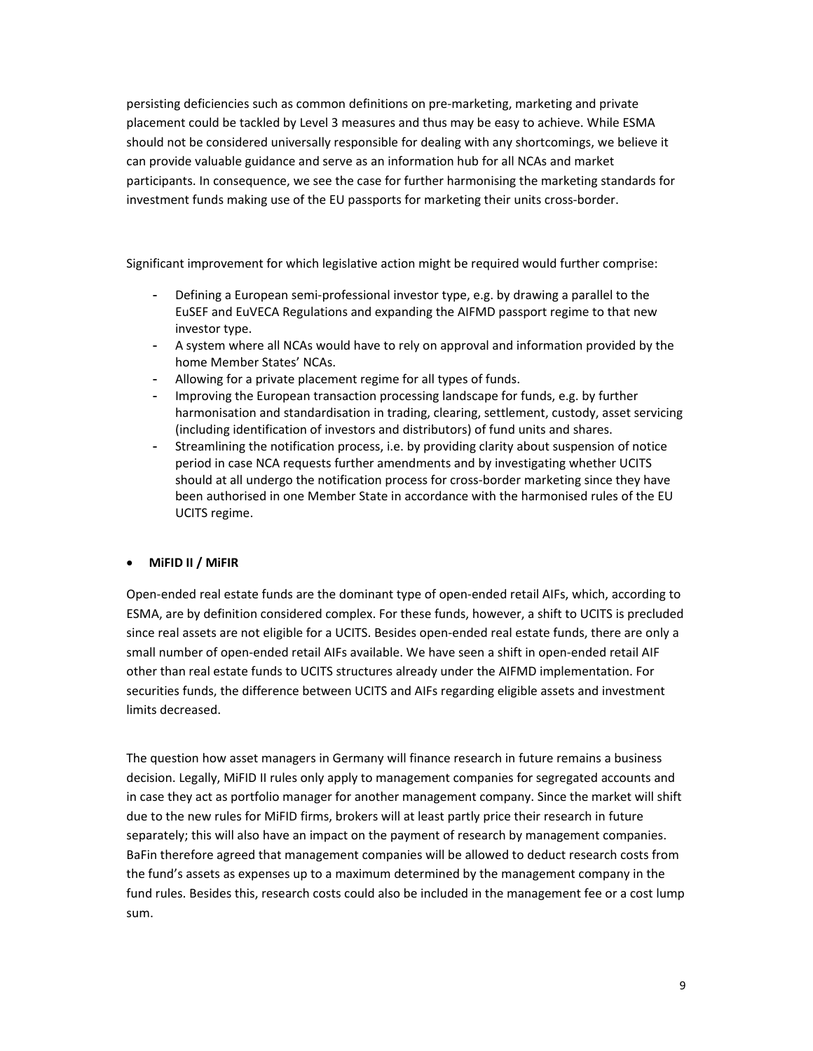persisting deficiencies such as common definitions on pre‐marketing, marketing and private placement could be tackled by Level 3 measures and thus may be easy to achieve. While ESMA should not be considered universally responsible for dealing with any shortcomings, we believe it can provide valuable guidance and serve as an information hub for all NCAs and market participants. In consequence, we see the case for further harmonising the marketing standards for investment funds making use of the EU passports for marketing their units cross‐border.

Significant improvement for which legislative action might be required would further comprise:

- Defining a European semi-professional investor type, e.g. by drawing a parallel to the EuSEF and EuVECA Regulations and expanding the AIFMD passport regime to that new investor type.
- A system where all NCAs would have to rely on approval and information provided by the home Member States' NCAs.
- Allowing for a private placement regime for all types of funds.
- Improving the European transaction processing landscape for funds, e.g. by further harmonisation and standardisation in trading, clearing, settlement, custody, asset servicing (including identification of investors and distributors) of fund units and shares.
- Streamlining the notification process, i.e. by providing clarity about suspension of notice period in case NCA requests further amendments and by investigating whether UCITS should at all undergo the notification process for cross-border marketing since they have been authorised in one Member State in accordance with the harmonised rules of the EU UCITS regime.

## **MiFID II / MiFIR**

Open‐ended real estate funds are the dominant type of open‐ended retail AIFs, which, according to ESMA, are by definition considered complex. For these funds, however, a shift to UCITS is precluded since real assets are not eligible for a UCITS. Besides open-ended real estate funds, there are only a small number of open‐ended retail AIFs available. We have seen a shift in open‐ended retail AIF other than real estate funds to UCITS structures already under the AIFMD implementation. For securities funds, the difference between UCITS and AIFs regarding eligible assets and investment limits decreased.

The question how asset managers in Germany will finance research in future remains a business decision. Legally, MiFID II rules only apply to management companies for segregated accounts and in case they act as portfolio manager for another management company. Since the market will shift due to the new rules for MiFID firms, brokers will at least partly price their research in future separately; this will also have an impact on the payment of research by management companies. BaFin therefore agreed that management companies will be allowed to deduct research costs from the fund's assets as expenses up to a maximum determined by the management company in the fund rules. Besides this, research costs could also be included in the management fee or a cost lump sum.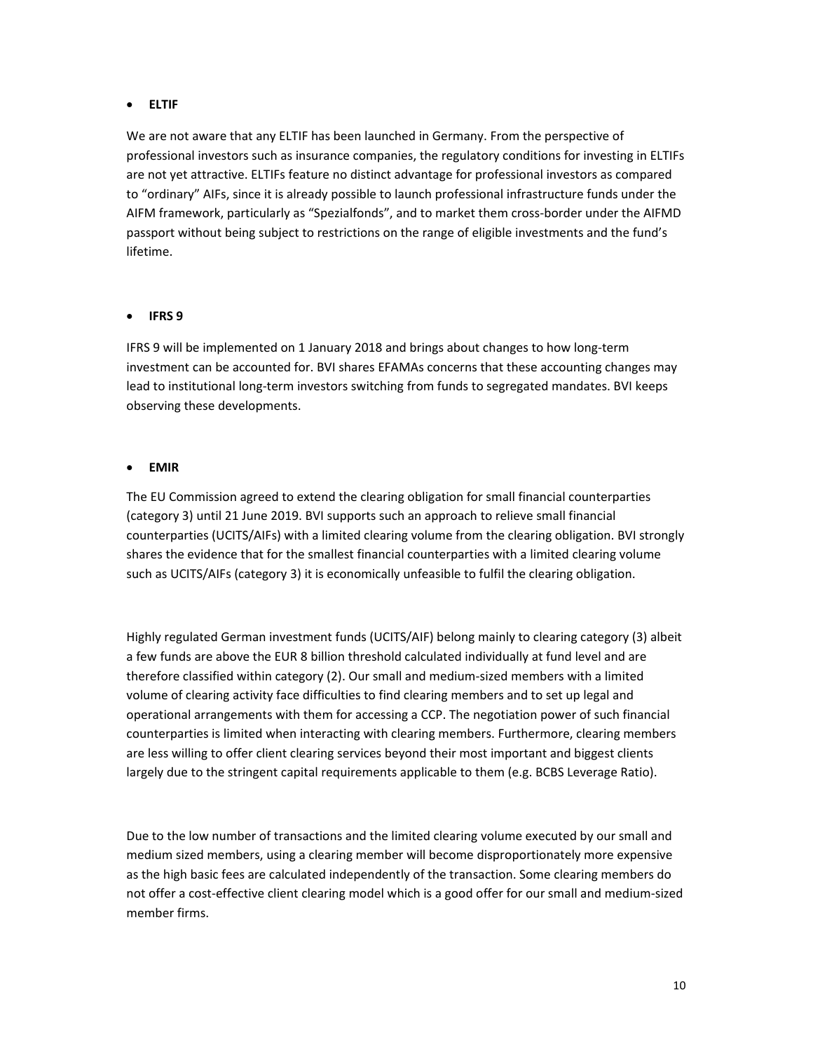#### **ELTIF**

We are not aware that any ELTIF has been launched in Germany. From the perspective of professional investors such as insurance companies, the regulatory conditions for investing in ELTIFs are not yet attractive. ELTIFs feature no distinct advantage for professional investors as compared to "ordinary" AIFs, since it is already possible to launch professional infrastructure funds under the AIFM framework, particularly as "Spezialfonds", and to market them cross‐border under the AIFMD passport without being subject to restrictions on the range of eligible investments and the fund's lifetime.

## **IFRS 9**

IFRS 9 will be implemented on 1 January 2018 and brings about changes to how long‐term investment can be accounted for. BVI shares EFAMAs concerns that these accounting changes may lead to institutional long-term investors switching from funds to segregated mandates. BVI keeps observing these developments.

## **EMIR**

The EU Commission agreed to extend the clearing obligation for small financial counterparties (category 3) until 21 June 2019. BVI supports such an approach to relieve small financial counterparties (UCITS/AIFs) with a limited clearing volume from the clearing obligation. BVI strongly shares the evidence that for the smallest financial counterparties with a limited clearing volume such as UCITS/AIFs (category 3) it is economically unfeasible to fulfil the clearing obligation.

Highly regulated German investment funds (UCITS/AIF) belong mainly to clearing category (3) albeit a few funds are above the EUR 8 billion threshold calculated individually at fund level and are therefore classified within category (2). Our small and medium‐sized members with a limited volume of clearing activity face difficulties to find clearing members and to set up legal and operational arrangements with them for accessing a CCP. The negotiation power of such financial counterparties is limited when interacting with clearing members. Furthermore, clearing members are less willing to offer client clearing services beyond their most important and biggest clients largely due to the stringent capital requirements applicable to them (e.g. BCBS Leverage Ratio).

Due to the low number of transactions and the limited clearing volume executed by our small and medium sized members, using a clearing member will become disproportionately more expensive as the high basic fees are calculated independently of the transaction. Some clearing members do not offer a cost‐effective client clearing model which is a good offer for our small and medium‐sized member firms.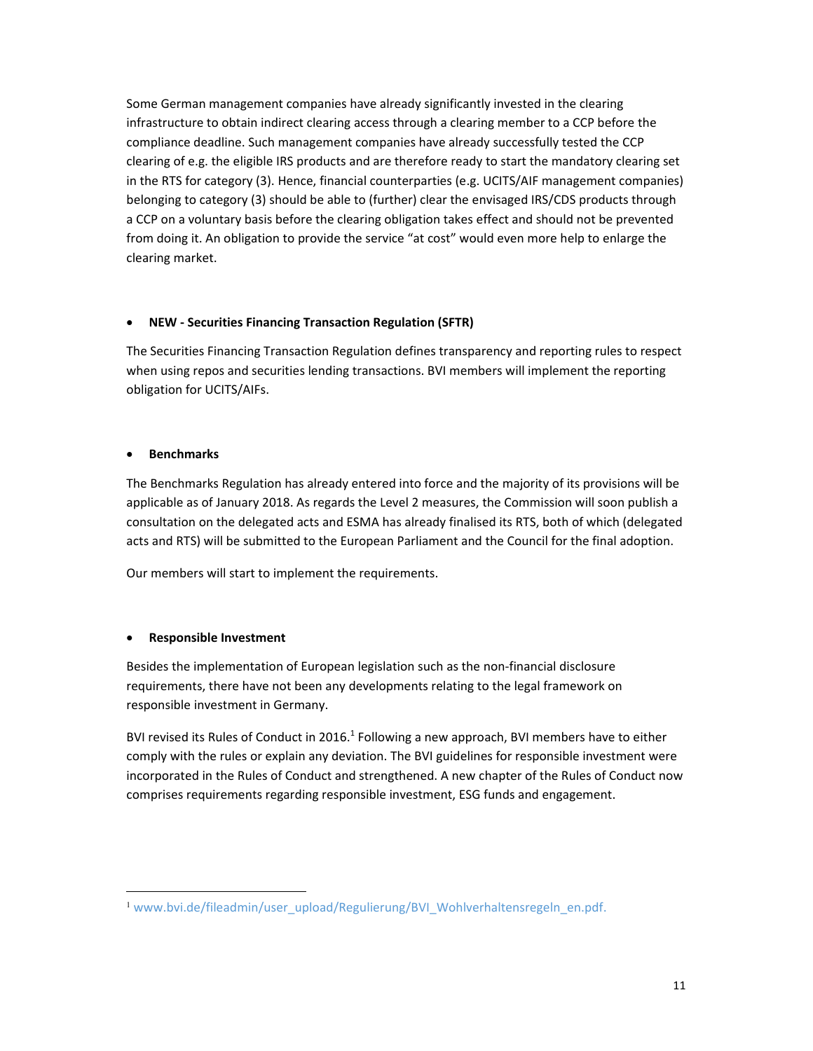Some German management companies have already significantly invested in the clearing infrastructure to obtain indirect clearing access through a clearing member to a CCP before the compliance deadline. Such management companies have already successfully tested the CCP clearing of e.g. the eligible IRS products and are therefore ready to start the mandatory clearing set in the RTS for category (3). Hence, financial counterparties (e.g. UCITS/AIF management companies) belonging to category (3) should be able to (further) clear the envisaged IRS/CDS products through a CCP on a voluntary basis before the clearing obligation takes effect and should not be prevented from doing it. An obligation to provide the service "at cost" would even more help to enlarge the clearing market.

## **NEW ‐ Securities Financing Transaction Regulation (SFTR)**

The Securities Financing Transaction Regulation defines transparency and reporting rules to respect when using repos and securities lending transactions. BVI members will implement the reporting obligation for UCITS/AIFs.

#### **Benchmarks**

The Benchmarks Regulation has already entered into force and the majority of its provisions will be applicable as of January 2018. As regards the Level 2 measures, the Commission will soon publish a consultation on the delegated acts and ESMA has already finalised its RTS, both of which (delegated acts and RTS) will be submitted to the European Parliament and the Council for the final adoption.

Our members will start to implement the requirements.

## **Responsible Investment**

 $\overline{a}$ 

Besides the implementation of European legislation such as the non‐financial disclosure requirements, there have not been any developments relating to the legal framework on responsible investment in Germany.

BVI revised its Rules of Conduct in 2016.<sup>1</sup> Following a new approach, BVI members have to either comply with the rules or explain any deviation. The BVI guidelines for responsible investment were incorporated in the Rules of Conduct and strengthened. A new chapter of the Rules of Conduct now comprises requirements regarding responsible investment, ESG funds and engagement.

<sup>&</sup>lt;sup>1</sup> www.bvi.de/fileadmin/user\_upload/Regulierung/BVI\_Wohlverhaltensregeln\_en.pdf.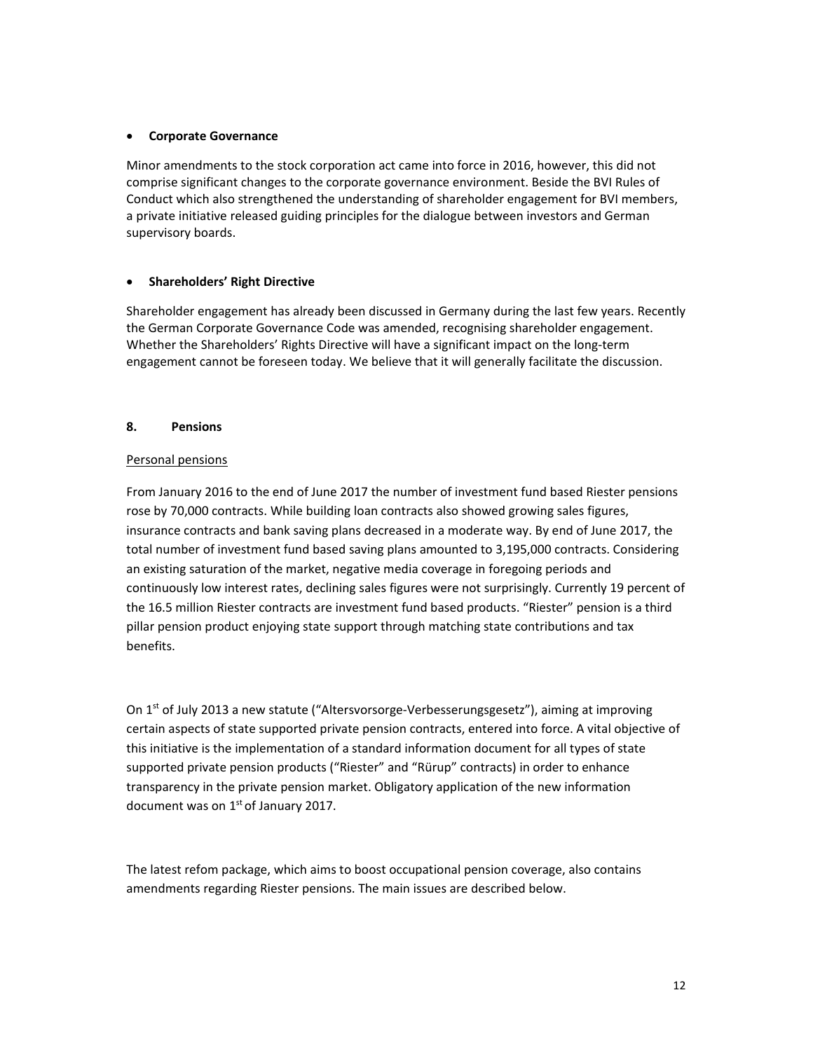#### **Corporate Governance**

Minor amendments to the stock corporation act came into force in 2016, however, this did not comprise significant changes to the corporate governance environment. Beside the BVI Rules of Conduct which also strengthened the understanding of shareholder engagement for BVI members, a private initiative released guiding principles for the dialogue between investors and German supervisory boards.

#### **Shareholders' Right Directive**

Shareholder engagement has already been discussed in Germany during the last few years. Recently the German Corporate Governance Code was amended, recognising shareholder engagement. Whether the Shareholders' Rights Directive will have a significant impact on the long‐term engagement cannot be foreseen today. We believe that it will generally facilitate the discussion.

#### **8. Pensions**

#### Personal pensions

From January 2016 to the end of June 2017 the number of investment fund based Riester pensions rose by 70,000 contracts. While building loan contracts also showed growing sales figures, insurance contracts and bank saving plans decreased in a moderate way. By end of June 2017, the total number of investment fund based saving plans amounted to 3,195,000 contracts. Considering an existing saturation of the market, negative media coverage in foregoing periods and continuously low interest rates, declining sales figures were not surprisingly. Currently 19 percent of the 16.5 million Riester contracts are investment fund based products. "Riester" pension is a third pillar pension product enjoying state support through matching state contributions and tax benefits.

On 1<sup>st</sup> of July 2013 a new statute ("Altersvorsorge-Verbesserungsgesetz"), aiming at improving certain aspects of state supported private pension contracts, entered into force. A vital objective of this initiative is the implementation of a standard information document for all types of state supported private pension products ("Riester" and "Rürup" contracts) in order to enhance transparency in the private pension market. Obligatory application of the new information document was on  $1<sup>st</sup>$  of January 2017.

The latest refom package, which aims to boost occupational pension coverage, also contains amendments regarding Riester pensions. The main issues are described below.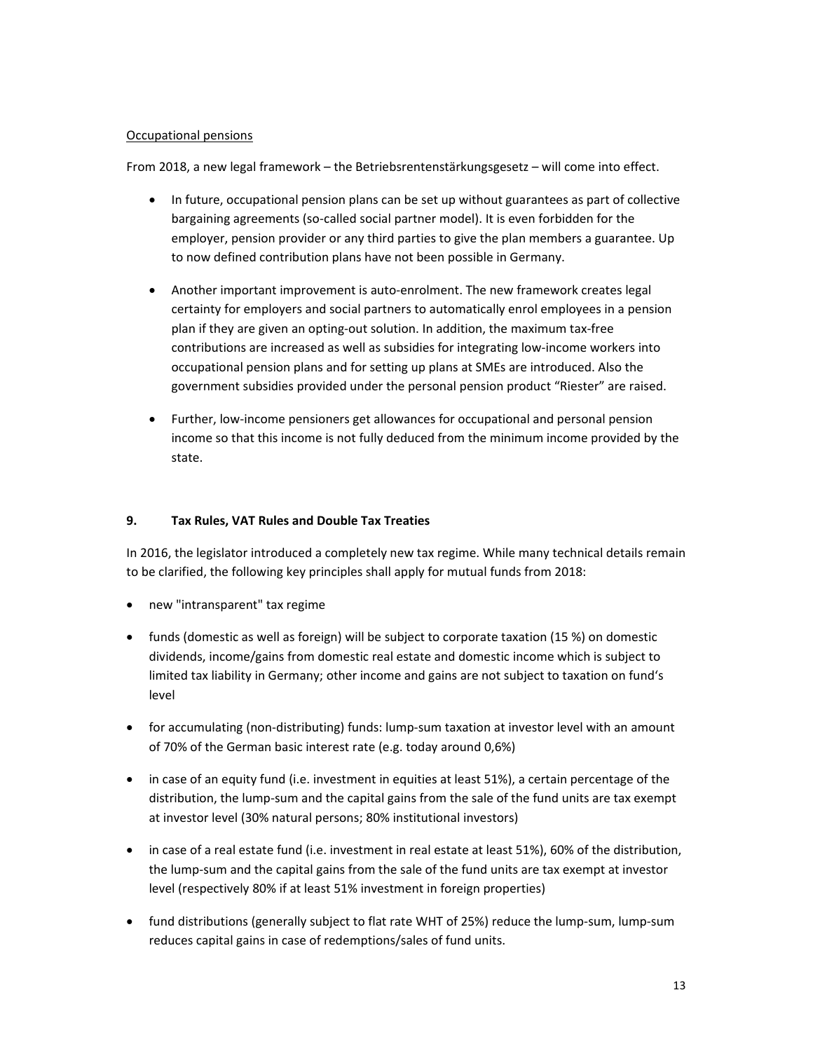#### Occupational pensions

From 2018, a new legal framework – the Betriebsrentenstärkungsgesetz – will come into effect.

- In future, occupational pension plans can be set up without guarantees as part of collective bargaining agreements (so-called social partner model). It is even forbidden for the employer, pension provider or any third parties to give the plan members a guarantee. Up to now defined contribution plans have not been possible in Germany.
- Another important improvement is auto-enrolment. The new framework creates legal certainty for employers and social partners to automatically enrol employees in a pension plan if they are given an opting‐out solution. In addition, the maximum tax‐free contributions are increased as well as subsidies for integrating low‐income workers into occupational pension plans and for setting up plans at SMEs are introduced. Also the government subsidies provided under the personal pension product "Riester" are raised.
- Further, low‐income pensioners get allowances for occupational and personal pension income so that this income is not fully deduced from the minimum income provided by the state.

## **9. Tax Rules, VAT Rules and Double Tax Treaties**

In 2016, the legislator introduced a completely new tax regime. While many technical details remain to be clarified, the following key principles shall apply for mutual funds from 2018:

- new "intransparent" tax regime
- funds (domestic as well as foreign) will be subject to corporate taxation (15 %) on domestic dividends, income/gains from domestic real estate and domestic income which is subject to limited tax liability in Germany; other income and gains are not subject to taxation on fund's level
- for accumulating (non‐distributing) funds: lump‐sum taxation at investor level with an amount of 70% of the German basic interest rate (e.g. today around 0,6%)
- in case of an equity fund (i.e. investment in equities at least 51%), a certain percentage of the distribution, the lump‐sum and the capital gains from the sale of the fund units are tax exempt at investor level (30% natural persons; 80% institutional investors)
- in case of a real estate fund (i.e. investment in real estate at least 51%), 60% of the distribution, the lump‐sum and the capital gains from the sale of the fund units are tax exempt at investor level (respectively 80% if at least 51% investment in foreign properties)
- fund distributions (generally subject to flat rate WHT of 25%) reduce the lump‐sum, lump‐sum reduces capital gains in case of redemptions/sales of fund units.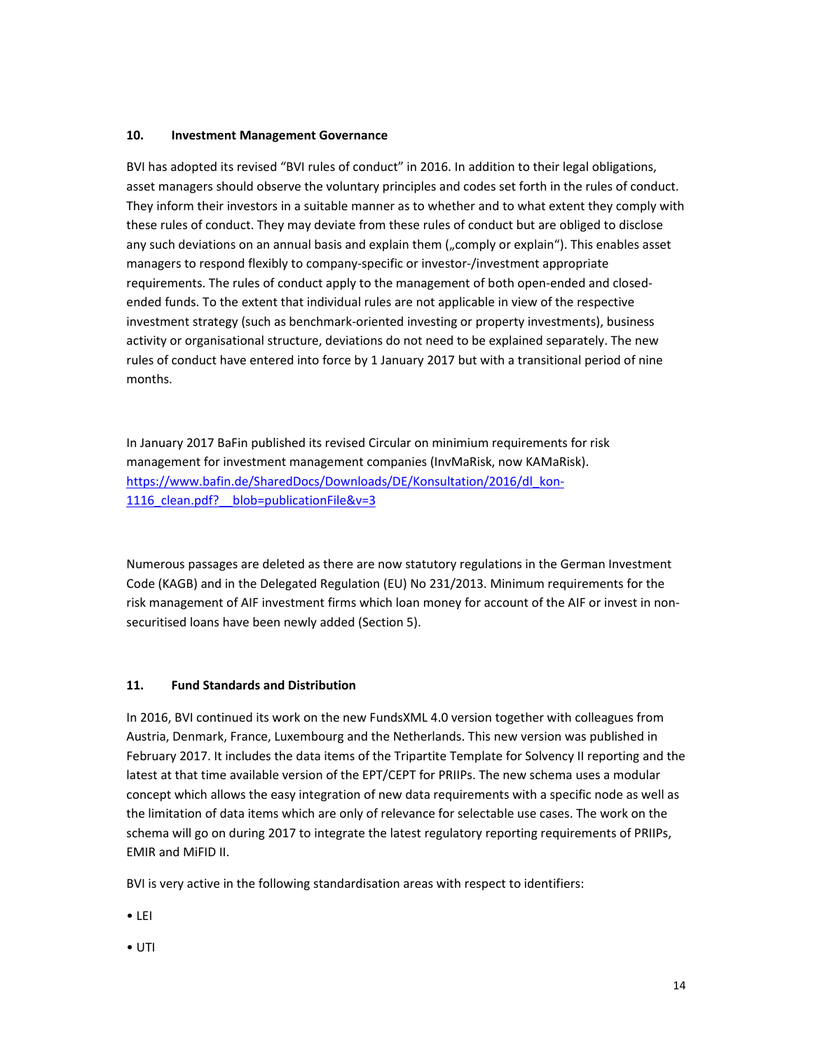#### **10. Investment Management Governance**

BVI has adopted its revised "BVI rules of conduct" in 2016. In addition to their legal obligations, asset managers should observe the voluntary principles and codes set forth in the rules of conduct. They inform their investors in a suitable manner as to whether and to what extent they comply with these rules of conduct. They may deviate from these rules of conduct but are obliged to disclose any such deviations on an annual basis and explain them ("comply or explain"). This enables asset managers to respond flexibly to company‐specific or investor‐/investment appropriate requirements. The rules of conduct apply to the management of both open-ended and closedended funds. To the extent that individual rules are not applicable in view of the respective investment strategy (such as benchmark‐oriented investing or property investments), business activity or organisational structure, deviations do not need to be explained separately. The new rules of conduct have entered into force by 1 January 2017 but with a transitional period of nine months.

In January 2017 BaFin published its revised Circular on minimium requirements for risk management for investment management companies (InvMaRisk, now KAMaRisk). https://www.bafin.de/SharedDocs/Downloads/DE/Konsultation/2016/dl\_kon-1116 clean.pdf? blob=publicationFile&v=3

Numerous passages are deleted as there are now statutory regulations in the German Investment Code (KAGB) and in the Delegated Regulation (EU) No 231/2013. Minimum requirements for the risk management of AIF investment firms which loan money for account of the AIF or invest in non‐ securitised loans have been newly added (Section 5).

#### **11. Fund Standards and Distribution**

In 2016, BVI continued its work on the new FundsXML 4.0 version together with colleagues from Austria, Denmark, France, Luxembourg and the Netherlands. This new version was published in February 2017. It includes the data items of the Tripartite Template for Solvency II reporting and the latest at that time available version of the EPT/CEPT for PRIIPs. The new schema uses a modular concept which allows the easy integration of new data requirements with a specific node as well as the limitation of data items which are only of relevance for selectable use cases. The work on the schema will go on during 2017 to integrate the latest regulatory reporting requirements of PRIIPs, EMIR and MiFID II.

BVI is very active in the following standardisation areas with respect to identifiers:

• LEI

• UTI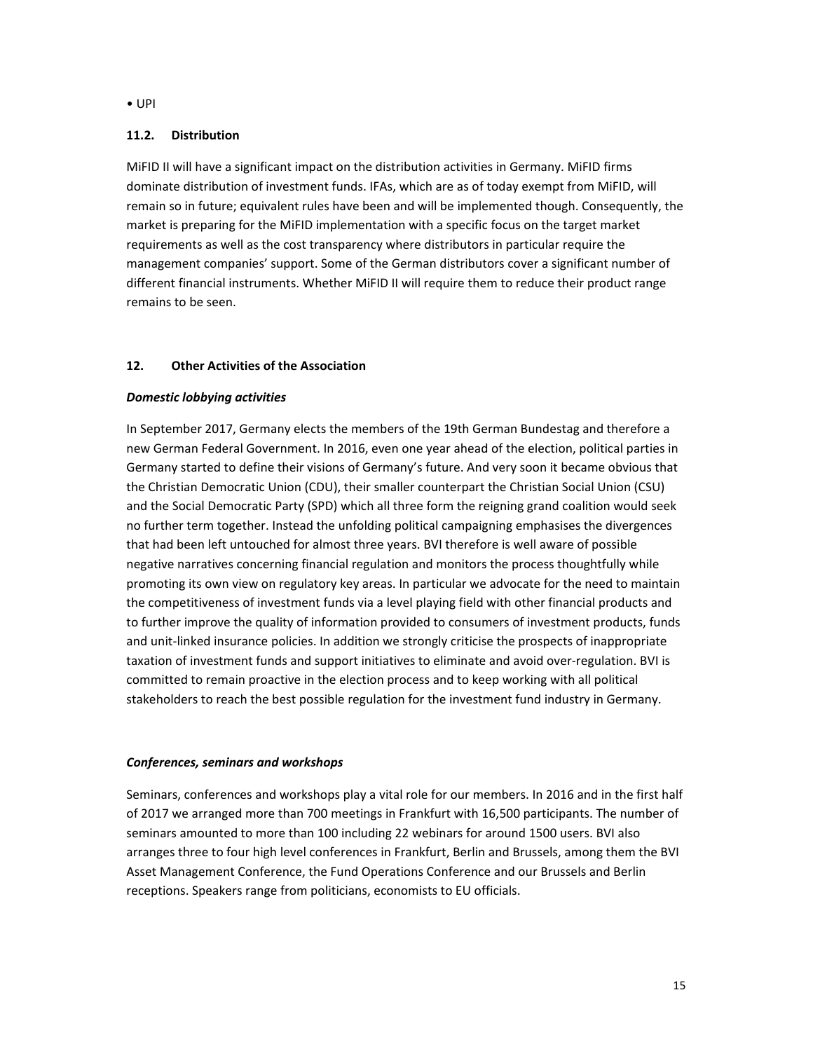#### • UPI

#### **11.2. Distribution**

MiFID II will have a significant impact on the distribution activities in Germany. MiFID firms dominate distribution of investment funds. IFAs, which are as of today exempt from MiFID, will remain so in future; equivalent rules have been and will be implemented though. Consequently, the market is preparing for the MiFID implementation with a specific focus on the target market requirements as well as the cost transparency where distributors in particular require the management companies' support. Some of the German distributors cover a significant number of different financial instruments. Whether MiFID II will require them to reduce their product range remains to be seen.

## **12. Other Activities of the Association**

## *Domestic lobbying activities*

In September 2017, Germany elects the members of the 19th German Bundestag and therefore a new German Federal Government. In 2016, even one year ahead of the election, political parties in Germany started to define their visions of Germany's future. And very soon it became obvious that the Christian Democratic Union (CDU), their smaller counterpart the Christian Social Union (CSU) and the Social Democratic Party (SPD) which all three form the reigning grand coalition would seek no further term together. Instead the unfolding political campaigning emphasises the divergences that had been left untouched for almost three years. BVI therefore is well aware of possible negative narratives concerning financial regulation and monitors the process thoughtfully while promoting its own view on regulatory key areas. In particular we advocate for the need to maintain the competitiveness of investment funds via a level playing field with other financial products and to further improve the quality of information provided to consumers of investment products, funds and unit‐linked insurance policies. In addition we strongly criticise the prospects of inappropriate taxation of investment funds and support initiatives to eliminate and avoid over-regulation. BVI is committed to remain proactive in the election process and to keep working with all political stakeholders to reach the best possible regulation for the investment fund industry in Germany.

#### *Conferences, seminars and workshops*

Seminars, conferences and workshops play a vital role for our members. In 2016 and in the first half of 2017 we arranged more than 700 meetings in Frankfurt with 16,500 participants. The number of seminars amounted to more than 100 including 22 webinars for around 1500 users. BVI also arranges three to four high level conferences in Frankfurt, Berlin and Brussels, among them the BVI Asset Management Conference, the Fund Operations Conference and our Brussels and Berlin receptions. Speakers range from politicians, economists to EU officials.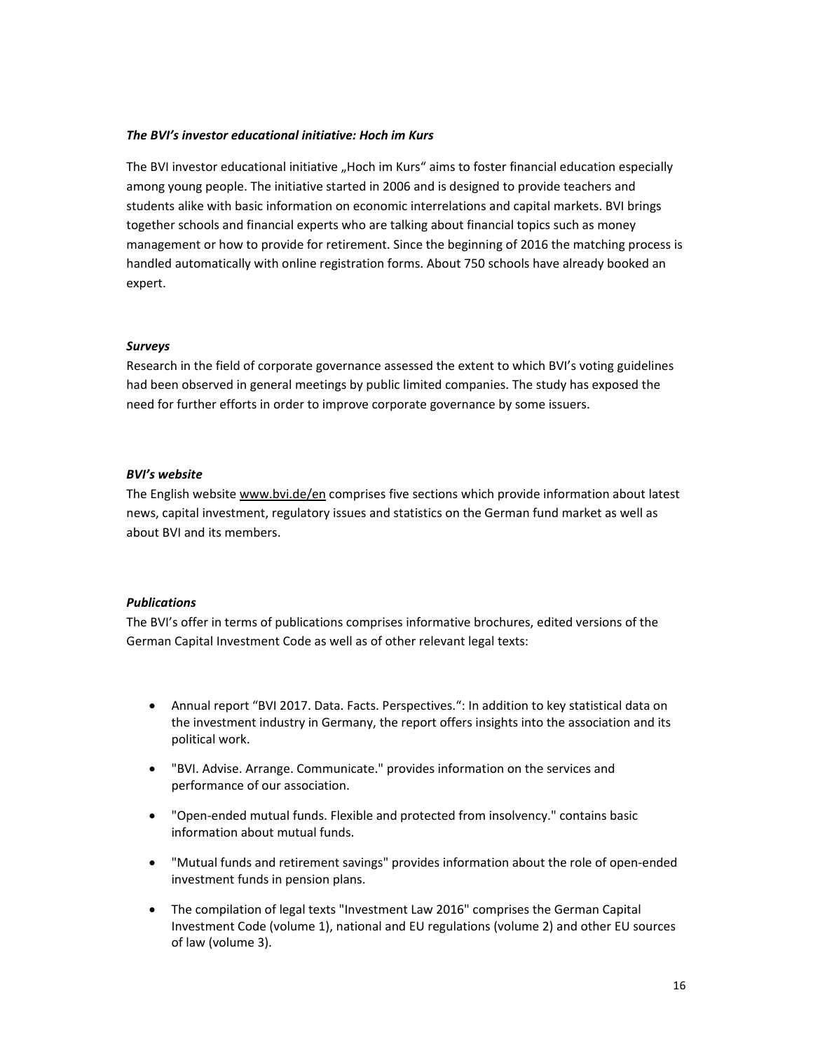#### *The BVI's investor educational initiative: Hoch im Kurs*

The BVI investor educational initiative "Hoch im Kurs" aims to foster financial education especially among young people. The initiative started in 2006 and is designed to provide teachers and students alike with basic information on economic interrelations and capital markets. BVI brings together schools and financial experts who are talking about financial topics such as money management or how to provide for retirement. Since the beginning of 2016 the matching process is handled automatically with online registration forms. About 750 schools have already booked an expert.

#### *Surveys*

Research in the field of corporate governance assessed the extent to which BVI's voting guidelines had been observed in general meetings by public limited companies. The study has exposed the need for further efforts in order to improve corporate governance by some issuers.

#### *BVI's website*

The English website www.bvi.de/en comprises five sections which provide information about latest news, capital investment, regulatory issues and statistics on the German fund market as well as about BVI and its members.

#### *Publications*

The BVI's offer in terms of publications comprises informative brochures, edited versions of the German Capital Investment Code as well as of other relevant legal texts:

- Annual report "BVI 2017. Data. Facts. Perspectives.": In addition to key statistical data on the investment industry in Germany, the report offers insights into the association and its political work.
- "BVI. Advise. Arrange. Communicate." provides information on the services and performance of our association.
- "Open‐ended mutual funds. Flexible and protected from insolvency." contains basic information about mutual funds.
- "Mutual funds and retirement savings" provides information about the role of open‐ended investment funds in pension plans.
- The compilation of legal texts "Investment Law 2016" comprises the German Capital Investment Code (volume 1), national and EU regulations (volume 2) and other EU sources of law (volume 3).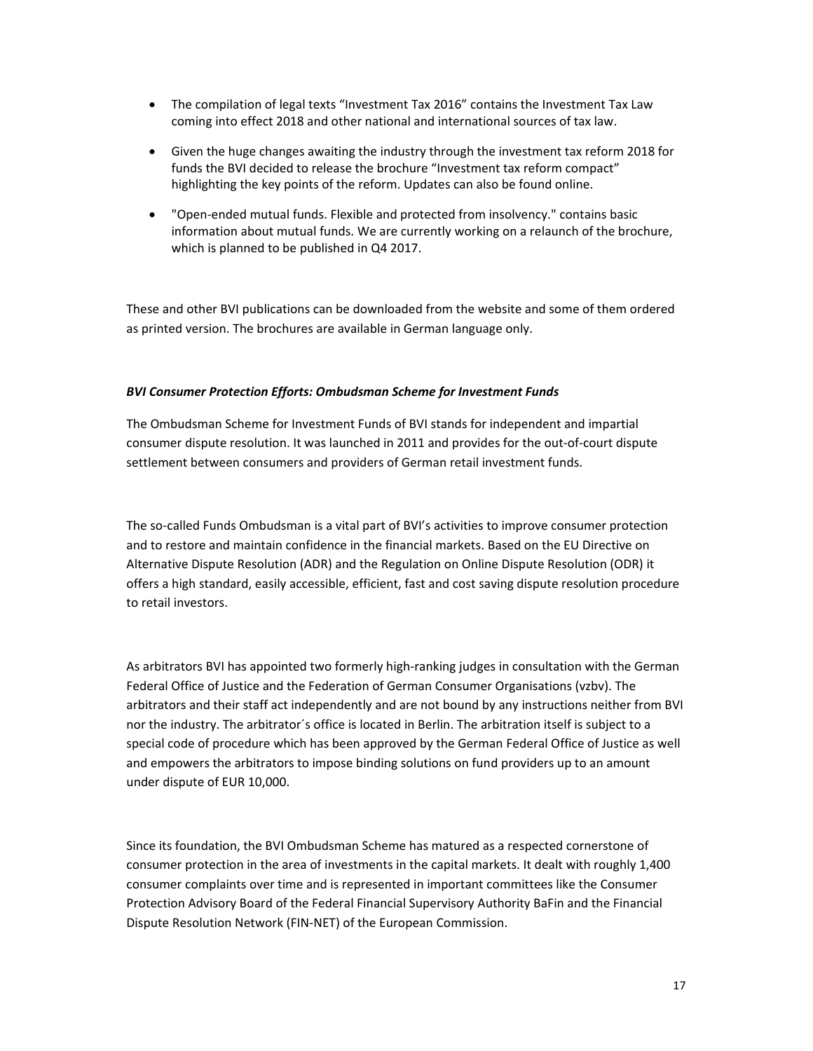- The compilation of legal texts "Investment Tax 2016" contains the Investment Tax Law coming into effect 2018 and other national and international sources of tax law.
- Given the huge changes awaiting the industry through the investment tax reform 2018 for funds the BVI decided to release the brochure "Investment tax reform compact" highlighting the key points of the reform. Updates can also be found online.
- "Open‐ended mutual funds. Flexible and protected from insolvency." contains basic information about mutual funds. We are currently working on a relaunch of the brochure, which is planned to be published in Q4 2017.

These and other BVI publications can be downloaded from the website and some of them ordered as printed version. The brochures are available in German language only.

## *BVI Consumer Protection Efforts: Ombudsman Scheme for Investment Funds*

The Ombudsman Scheme for Investment Funds of BVI stands for independent and impartial consumer dispute resolution. It was launched in 2011 and provides for the out‐of‐court dispute settlement between consumers and providers of German retail investment funds.

The so-called Funds Ombudsman is a vital part of BVI's activities to improve consumer protection and to restore and maintain confidence in the financial markets. Based on the EU Directive on Alternative Dispute Resolution (ADR) and the Regulation on Online Dispute Resolution (ODR) it offers a high standard, easily accessible, efficient, fast and cost saving dispute resolution procedure to retail investors.

As arbitrators BVI has appointed two formerly high‐ranking judges in consultation with the German Federal Office of Justice and the Federation of German Consumer Organisations (vzbv). The arbitrators and their staff act independently and are not bound by any instructions neither from BVI nor the industry. The arbitrator´s office is located in Berlin. The arbitration itself is subject to a special code of procedure which has been approved by the German Federal Office of Justice as well and empowers the arbitrators to impose binding solutions on fund providers up to an amount under dispute of EUR 10,000.

Since its foundation, the BVI Ombudsman Scheme has matured as a respected cornerstone of consumer protection in the area of investments in the capital markets. It dealt with roughly 1,400 consumer complaints over time and is represented in important committees like the Consumer Protection Advisory Board of the Federal Financial Supervisory Authority BaFin and the Financial Dispute Resolution Network (FIN‐NET) of the European Commission.